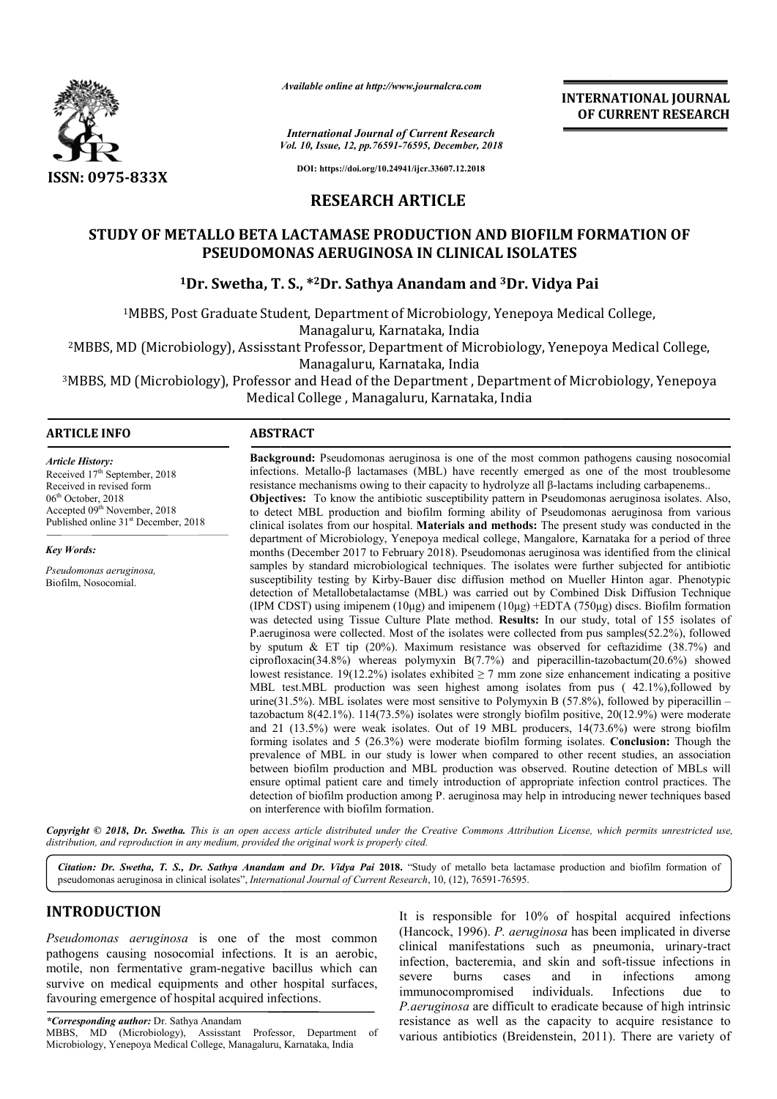

*Available online at http://www.journalcra.com*

**INTERNATIONAL JOURNAL OF CURRENT RESEARCH**

*Vol. 10, Issue, 12, pp. pp.76591-76595, December, 2018 International Journal of Current Research*

**DOI: https://doi.org/10.24941/ijcr.33607.12.2018**

# **RESEARCH ARTICLE**

# **STUDY OF METALLO BETA LACTAMASE PRODUCTION AND BIOFILM FORMATION OF PSEUDOMONAS AE AERUGINOSA IN CLINICAL ISOLATES RUGINOSA IN**

# <sup>1</sup>Dr. Swetha, T. S., \*<sup>2</sup>Dr. Sathya Anandam and <sup>3</sup>Dr. Vidya Pai

<sup>1</sup>MBBS, Post Graduate Student, Department of Microbiology, Yenepoya Medical College,

Managaluru, Karnataka, India

<sup>2</sup>MBBS, MD (Microbiology), Assisstant Professor, Department of Microbiology, Yenepoya Medical Coll?<br>Managaluru, Karnataka, India <sup>1</sup>MBBS, Post Graduate Student, Department of Microbiology, Yenepoya Medical College,<br>Managaluru, Karnataka, India<br>MBBS, MD (Microbiology), Assisstant Professor, Department of Microbiology, Yenepoya Medical College,

<sup>3</sup>MBBS, MD (Microbiology), Professor and Head of the Department , Department of Microbiology, Yenepoya Medical College , Managaluru, Karnataka, India

### **ARTICLE INFO ABSTRACT**

*Article History:* Received 17<sup>th</sup> September, 2018 Received in revised form 06<sup>th</sup> October, 2018  $\text{Accepted } 09^{\text{th}}$  November, 2018 Published online 31<sup>st</sup> December, 2018

*Key Words:*

*Pseudomonas aeruginosa,*  Biofilm, Nosocomial.

**Background:** Pseudomonas aeruginosa is one of the most common pathogens causing nosocomial infections. Metallo-β lactamases (MBL) have recently emerged as one of the most troublesome resistance mechanisms owing to their **Objectives:** To know the antibiotic susceptibility pattern in Pseudomonas aeruginosa isolates. Also, to detect MBL production and biofilm forming ability of Pseudomonas aeruginosa from various clinical isolates from our hospital. **Materials and methods:** The present study was conducted in the department of Microbiology, Yenepoya medical college, Mangalore, Karnataka for a period of three months (December 2017 to February 2018). Pseudomonas aeruginosa was identified from the clinical samples by standard microbiological techniques. The isolates were further subjected for antibiotic susceptibility testing by Kirby Kirby-Bauer disc diffusion method on Mueller Hinton agar. Phenotypic detection of Metallobetalactamse (MBL) was carried out by Combined Disk Diff (IPM CDST) using imipenem (10μg) and imipenem (10μg) +EDTA (750μg) discs. Biofilm formation was detected using Tissue Culture Plate method. **Results:** In our study, total of 155 isolates of P.aeruginosa were collected. Most of the isolates were collected from pus samples(52.2%), followed by sputum & ET tip (20%). Maximum resistance was observed for ceftazidime (38.7%) and (IPM CDST) using imipenem (10µg) and imipenem (10µg) +EDTA (750µg) discs. Biofilm formation was detected using Tissue Culture Plate method. **Results:** In our study, total of 155 isolates of P.aeruginosa were collected. Mo lowest resistance. 19(12.2%) isolates exhibited  $\geq$  7 mm zone size enhancement indicating a positive MBL test.MBL production was seen highest among isolates from pus (42.1%),followed by lowest resistance. 19(12.2%) isolates exhibited  $\geq$  7 mm zone size enhancement indicating a positive MBL test.MBL production was seen highest among isolates from pus (42.1%), followed by urine(31.5%). MBL isolates were tazobact tazobactum 8(42.1%). 114(73.5%) isolates were strongly biofilm positive, 20(12.9%) were moderate and 21 (13.5%) were weak isolates. Out of 19 MBL producers, 14(73.6%) were strong biofilm tazobactum 8(42.1%). 114(73.5%) isolates were strongly biofilm positive, 20(12.9%) were moderate and 21 (13.5%) were weak isolates. Out of 19 MBL producers, 14(73.6%) were strong biofilm forming isolates and 5 (26.3%) were prevalence of MBL in our study is lower when compared to other recent studies, an association between biofilm production and MBL production was observed. Routine detection of MBLs will ensure optimal patient care and timely introduction of appropriate infection control practices. The detection of biofilm production among P. aeruginosa may help in introducing newer techniques based on interference with biofilm formation. department of Microbiology, Yenepoya medical college, Mangalore, Karnataka for a period of three months (December 2017 to February 2018). Pseudomonas aeruginosa was identified from the clinical samples by standard microbio prevalence of MBL in our study is lower when compared to other recent studies, an assoc<br>between biofilm production and MBL production was observed. Routine detection of MBL<br>ensure optimal patient care and timely introducti

**Background:** Pseudomonas aeruginosa is one of the most common pathogens causing nosocomial infections. Metallo-β lactamases (MBL) have recently emerged as one of the most troublesome

Copyright © 2018, Dr. Swetha. This is an open access article distributed under the Creative Commons Attribution License, which permits unrestricted use, *distribution, and reproduction in any medium, provided the original work is properly cited.*

Citation: Dr. Swetha, T. S., Dr. Sathya Anandam and Dr. Vidya Pai 2018. "Study of metallo beta lactamase production and biofilm formation of pseudomonas aeruginosa in clinical isolates", *International Journal of Current Research*, 10, (12), 76591-76595.

# **INTRODUCTION**

*Pseudomonas aeruginosa* is one of the most common pathogens causing nosocomial infections. It is an aerobic, motile, non fermentative gram-negative bacillus which can survive on medical equipments and other hospital surfaces, favouring emergence of hospital acquired infections.

*\*Corresponding author:* Dr. Sathya Anandam MBBS, MD (Microbiology), Assisstant Professor, Department of Microbiology, Yenepoya Medical College, Managaluru, Karnataka, India

It is responsible for 10% of hospital<br> *neginosa* is one of the most common<br>
thancock, 1996). P. aeruginosa has been<br>
prosocomial infections. It is an aerobic,<br>
inical manifestations such as pneu<br>
infection, bacteremia, an (Hancock, 1996). *P. aeruginosa* has been implicated in diverse clinical manifestations such as pneumonia, urinary-tract infection, bacteremia, and skin and soft-tissue infections in severe burns cases and in infections among immunocompromised *P.aeruginosa* are difficult to eradicate because of high intrinsic resistance as well as the capacity to acquire resistance to various antibiotics (Breidenstein, 2011). There are variety of It is responsible for  $10\%$  of hospital acquired infections individuals. Infections due to are difficult to eradicate because of high intrinsic<br>well as the capacity to acquire resistance to<br>otics (Breidenstein, 2011). There are variety of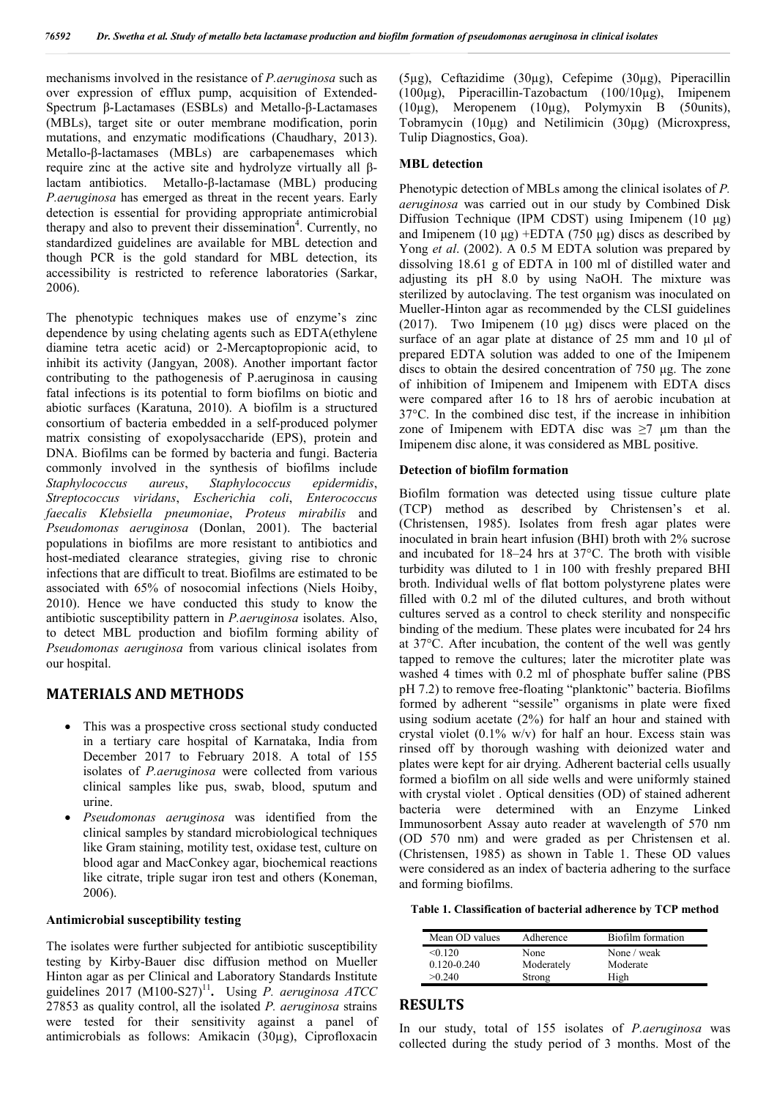mechanisms involved in the resistance of *P.aeruginosa* such as over expression of efflux pump, acquisition of Extended-Spectrum β-Lactamases (ESBLs) and Metallo-β-Lactamases (MBLs), target site or outer membrane modification, porin mutations, and enzymatic modifications (Chaudhary, 2013). Metallo-β-lactamases (MBLs) are carbapenemases which require zinc at the active site and hydrolyze virtually all βlactam antibiotics. Metallo-β-lactamase (MBL) producing *P.aeruginosa* has emerged as threat in the recent years. Early detection is essential for providing appropriate antimicrobial therapy and also to prevent their dissemination<sup>4</sup>. Currently, no standardized guidelines are available for MBL detection and though PCR is the gold standard for MBL detection, its accessibility is restricted to reference laboratories (Sarkar, 2006).

The phenotypic techniques makes use of enzyme's zinc dependence by using chelating agents such as EDTA(ethylene diamine tetra acetic acid) or 2-Mercaptopropionic acid, to inhibit its activity (Jangyan, 2008). Another important factor contributing to the pathogenesis of P.aeruginosa in causing fatal infections is its potential to form biofilms on biotic and abiotic surfaces (Karatuna, 2010). A biofilm is a structured consortium of bacteria embedded in a self-produced polymer matrix consisting of exopolysaccharide (EPS), protein and DNA. Biofilms can be formed by bacteria and fungi. Bacteria commonly involved in the synthesis of biofilms include *Staphylococcus aureus*, *Staphylococcus epidermidis*, *Streptococcus viridans*, *Escherichia coli*, *Enterococcus faecalis Klebsiella pneumoniae*, *Proteus mirabilis* and *Pseudomonas aeruginosa* (Donlan, 2001). The bacterial populations in biofilms are more resistant to antibiotics and host-mediated clearance strategies, giving rise to chronic infections that are difficult to treat. Biofilms are estimated to be associated with 65% of nosocomial infections (Niels Hoiby, 2010). Hence we have conducted this study to know the antibiotic susceptibility pattern in *P.aeruginosa* isolates. Also, to detect MBL production and biofilm forming ability of *Pseudomonas aeruginosa* from various clinical isolates from our hospital.

# **MATERIALS AND METHODS**

- This was a prospective cross sectional study conducted in a tertiary care hospital of Karnataka, India from December 2017 to February 2018. A total of 155 isolates of *P.aeruginosa* were collected from various clinical samples like pus, swab, blood, sputum and urine.
- *Pseudomonas aeruginosa* was identified from the clinical samples by standard microbiological techniques like Gram staining, motility test, oxidase test, culture on blood agar and MacConkey agar, biochemical reactions like citrate, triple sugar iron test and others (Koneman, 2006).

## **Antimicrobial susceptibility testing**

The isolates were further subjected for antibiotic susceptibility testing by Kirby-Bauer disc diffusion method on Mueller Hinton agar as per Clinical and Laboratory Standards Institute guidelines 2017 (M100-S27)<sup>11</sup>. Using *P. aeruginosa ATCC* 27853 as quality control, all the isolated *P. aeruginosa* strains were tested for their sensitivity against a panel of antimicrobials as follows: Amikacin (30µg), Ciprofloxacin (5µg), Ceftazidime (30µg), Cefepime (30µg), Piperacillin (100µg), Piperacillin-Tazobactum (100/10µg), Imipenem (10µg), Meropenem (10µg), Polymyxin B (50units), Tobramycin (10µg) and Netilimicin (30µg) (Microxpress, Tulip Diagnostics, Goa).

### **MBL detection**

Phenotypic detection of MBLs among the clinical isolates of *P. aeruginosa* was carried out in our study by Combined Disk Diffusion Technique (IPM CDST) using Imipenem (10 μg) and Imipenem (10 μg) +EDTA (750 μg) discs as described by Yong *et al*. (2002). A 0.5 M EDTA solution was prepared by dissolving 18.61 g of EDTA in 100 ml of distilled water and adjusting its pH 8.0 by using NaOH. The mixture was sterilized by autoclaving. The test organism was inoculated on Mueller-Hinton agar as recommended by the CLSI guidelines (2017). Two Imipenem (10 μg) discs were placed on the surface of an agar plate at distance of 25 mm and 10 μl of prepared EDTA solution was added to one of the Imipenem discs to obtain the desired concentration of 750 μg. The zone of inhibition of Imipenem and Imipenem with EDTA discs were compared after 16 to 18 hrs of aerobic incubation at 37°C. In the combined disc test, if the increase in inhibition zone of Imipenem with EDTA disc was  $\geq 7$  µm than the Imipenem disc alone, it was considered as MBL positive.

#### **Detection of biofilm formation**

Biofilm formation was detected using tissue culture plate (TCP) method as described by Christensen's et al. (Christensen, 1985). Isolates from fresh agar plates were inoculated in brain heart infusion (BHI) broth with 2% sucrose and incubated for 18–24 hrs at 37°C. The broth with visible turbidity was diluted to 1 in 100 with freshly prepared BHI broth. Individual wells of flat bottom polystyrene plates were filled with 0.2 ml of the diluted cultures, and broth without cultures served as a control to check sterility and nonspecific binding of the medium. These plates were incubated for 24 hrs at 37°C. After incubation, the content of the well was gently tapped to remove the cultures; later the microtiter plate was washed 4 times with 0.2 ml of phosphate buffer saline (PBS pH 7.2) to remove free-floating "planktonic" bacteria. Biofilms formed by adherent "sessile" organisms in plate were fixed using sodium acetate (2%) for half an hour and stained with crystal violet (0.1% w/v) for half an hour. Excess stain was rinsed off by thorough washing with deionized water and plates were kept for air drying. Adherent bacterial cells usually formed a biofilm on all side wells and were uniformly stained with crystal violet . Optical densities (OD) of stained adherent bacteria were determined with an Enzyme Linked Immunosorbent Assay auto reader at wavelength of 570 nm (OD 570 nm) and were graded as per Christensen et al. (Christensen, 1985) as shown in Table 1. These OD values were considered as an index of bacteria adhering to the surface and forming biofilms.

**Table 1. Classification of bacterial adherence by TCP method**

| Mean OD values  | Adherence  | Biofilm formation |
|-----------------|------------|-------------------|
| < 0.120         | None       | None / weak       |
| $0.120 - 0.240$ | Moderately | Moderate          |
| >0.240          | Strong     | High              |

## **RESULTS**

In our study, total of 155 isolates of *P.aeruginosa* was collected during the study period of 3 months. Most of the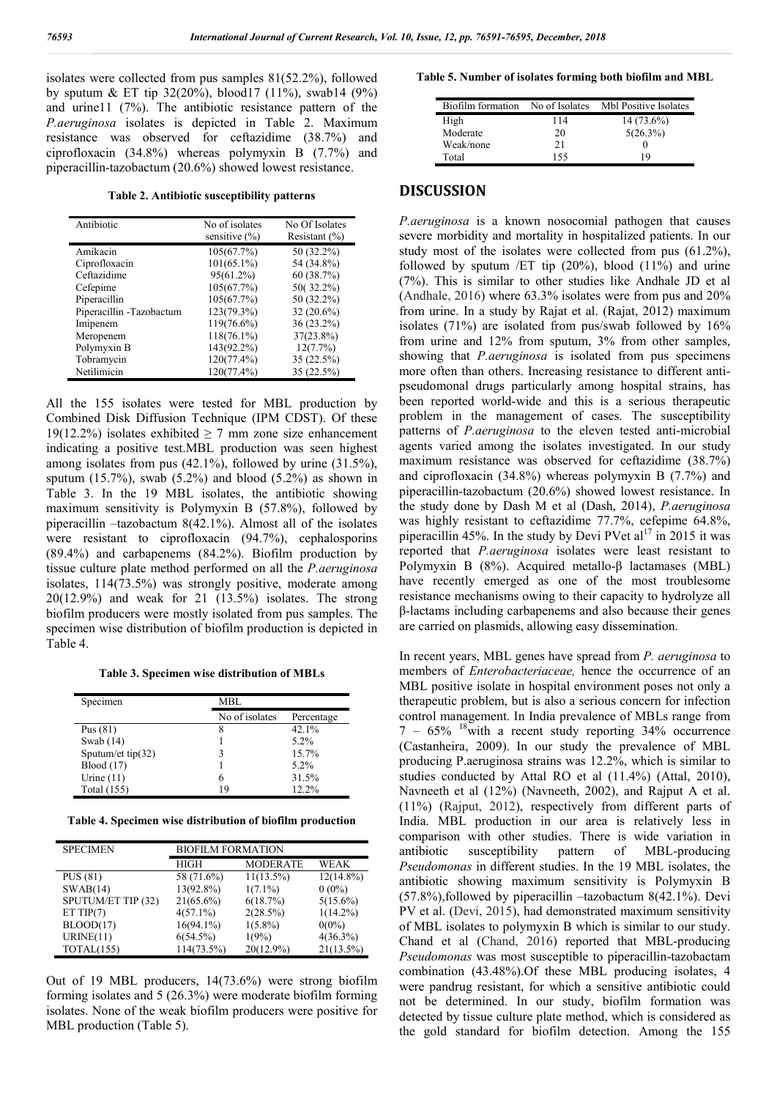isolates were collected from pus samples 81(52.2%), followed by sputum & ET tip 32(20%), blood17 (11%), swab14 (9%) and urine11 (7%). The antibiotic resistance pattern of the *P.aeruginosa* isolates is depicted in Table 2. Maximum resistance was observed for ceftazidime (38.7%) and ciprofloxacin (34.8%) whereas polymyxin B (7.7%) and piperacillin-tazobactum (20.6%) showed lowest resistance.

**Table 2. Antibiotic susceptibility patterns**

| Antibiotic                | No of isolates    | No Of Isolates    |
|---------------------------|-------------------|-------------------|
|                           | sensitive $(\% )$ | Resistant $(\% )$ |
| Amikacin                  | 105(67.7%)        | 50 (32.2%)        |
| Ciprofloxacin             | $101(65.1\%)$     | 54 (34.8%)        |
| Ceftazidime               | 95(61.2%)         | 60(38.7%)         |
| Cefepime                  | 105(67.7%)        | 50(32.2%)         |
| Piperacillin              | 105(67.7%)        | 50 (32.2%)        |
| Piperacillin - Tazobactum | 123(79.3%)        | $32(20.6\%)$      |
| Imipenem                  | 119(76.6%)        | $36(23.2\%)$      |
| Meropenem                 | $118(76.1\%)$     | 37(23.8%)         |
| Polymyxin B               | 143(92.2%)        | 12(7.7%)          |
| Tobramycin                | 120(77.4%)        | 35(22.5%)         |
| Netilimicin               | 120(77.4%)        | 35(22.5%)         |

All the 155 isolates were tested for MBL production by Combined Disk Diffusion Technique (IPM CDST). Of these 19(12.2%) isolates exhibited  $\geq$  7 mm zone size enhancement indicating a positive test.MBL production was seen highest among isolates from pus (42.1%), followed by urine (31.5%), sputum  $(15.7\%)$ , swab  $(5.2\%)$  and blood  $(5.2\%)$  as shown in Table 3. In the 19 MBL isolates, the antibiotic showing maximum sensitivity is Polymyxin B (57.8%), followed by piperacillin –tazobactum 8(42.1%). Almost all of the isolates were resistant to ciprofloxacin (94.7%), cephalosporins (89.4%) and carbapenems (84.2%). Biofilm production by tissue culture plate method performed on all the *P.aeruginosa*  isolates, 114(73.5%) was strongly positive, moderate among 20(12.9%) and weak for 21 (13.5%) isolates. The strong biofilm producers were mostly isolated from pus samples. The specimen wise distribution of biofilm production is depicted in Table 4.

**Table 3. Specimen wise distribution of MBLs**

| Specimen             | MBL            |            |  |
|----------------------|----------------|------------|--|
|                      | No of isolates | Percentage |  |
| Pus $(81)$           | 8              | 42.1%      |  |
| Swab $(14)$          |                | $5.2\%$    |  |
| Sputum/et tip $(32)$ |                | 15.7%      |  |
| <b>Blood</b> (17)    |                | $5.2\%$    |  |
| Urine $(11)$         |                | 31.5%      |  |
| Total (155)          | 19             | 12.2%      |  |

**Table 4. Specimen wise distribution of biofilm production**

| <b>SPECIMEN</b>    | <b>BIOFILM FORMATION</b> |                 |              |
|--------------------|--------------------------|-----------------|--------------|
|                    | <b>HIGH</b>              | <b>MODERATE</b> | WEAK         |
| <b>PUS</b> (81)    | 58 (71.6%)               | $11(13.5\%)$    | $12(14.8\%)$ |
| SWAB(14)           | 13(92.8%)                | $1(7.1\%)$      | $0(0\%)$     |
| SPUTUM/ET TIP (32) | $21(65.6\%)$             | 6(18.7%)        | $5(15.6\%)$  |
| ET TIP $(7)$       | $4(57.1\%)$              | 2(28.5%)        | $1(14.2\%)$  |
| BLOOD(17)          | $16(94.1\%)$             | $1(5.8\%)$      | $0(0\%)$     |
| URINE(11)          | $6(54.5\%)$              | 1(9%)           | $4(36.3\%)$  |
| TOTAL(155)         | 114(73.5%)               | $20(12.9\%)$    | 21(13.5%)    |

Out of 19 MBL producers, 14(73.6%) were strong biofilm forming isolates and 5 (26.3%) were moderate biofilm forming isolates. None of the weak biofilm producers were positive for MBL production (Table 5).

#### **Table 5. Number of isolates forming both biofilm and MBL**

| Biofilm formation | No of Isolates | Mbl Positive Isolates |
|-------------------|----------------|-----------------------|
| High              | 114            | $14(73.6\%)$          |
| Moderate          | 20             | 5(26.3%)              |
| Weak/none         | 21             |                       |
| Total             | 155            | 19                    |

## **DISCUSSION**

*P.aeruginosa* is a known nosocomial pathogen that causes severe morbidity and mortality in hospitalized patients. In our study most of the isolates were collected from pus (61.2%), followed by sputum  $/ET$  tip  $(20\%)$ , blood  $(11\%)$  and urine (7%). This is similar to other studies like Andhale JD et al (Andhale, 2016) where 63.3% isolates were from pus and 20% from urine. In a study by Rajat et al. (Rajat, 2012) maximum isolates (71%) are isolated from pus/swab followed by 16% from urine and 12% from sputum, 3% from other samples, showing that *P.aeruginosa* is isolated from pus specimens more often than others. Increasing resistance to different antipseudomonal drugs particularly among hospital strains, has been reported world-wide and this is a serious therapeutic problem in the management of cases. The susceptibility patterns of *P.aeruginosa* to the eleven tested anti-microbial agents varied among the isolates investigated. In our study maximum resistance was observed for ceftazidime (38.7%) and ciprofloxacin (34.8%) whereas polymyxin B (7.7%) and piperacillin-tazobactum (20.6%) showed lowest resistance. In the study done by Dash M et al (Dash, 2014), *P.aeruginosa* was highly resistant to ceftazidime 77.7%, cefepime 64.8%, piperacillin 45%. In the study by Devi PVet  $al<sup>17</sup>$  in 2015 it was reported that *P.aeruginosa* isolates were least resistant to Polymyxin B (8%). Acquired metallo-β lactamases (MBL) have recently emerged as one of the most troublesome resistance mechanisms owing to their capacity to hydrolyze all β-lactams including carbapenems and also because their genes are carried on plasmids, allowing easy dissemination.

In recent years, MBL genes have spread from *P. aeruginosa* to members of *Enterobacteriaceae,* hence the occurrence of an MBL positive isolate in hospital environment poses not only a therapeutic problem, but is also a serious concern for infection control management. In India prevalence of MBLs range from  $7 - 65\%$  <sup>18</sup>with a recent study reporting 34% occurrence (Castanheira, 2009). In our study the prevalence of MBL producing P.aeruginosa strains was 12.2%, which is similar to studies conducted by Attal RO et al (11.4%) (Attal, 2010), Navneeth et al (12%) (Navneeth, 2002), and Rajput A et al. (11%) (Rajput, 2012), respectively from different parts of India. MBL production in our area is relatively less in comparison with other studies. There is wide variation in antibiotic susceptibility pattern of MBL-producing *Pseudomonas* in different studies. In the 19 MBL isolates, the antibiotic showing maximum sensitivity is Polymyxin B (57.8%),followed by piperacillin –tazobactum 8(42.1%). Devi PV et al. (Devi, 2015), had demonstrated maximum sensitivity of MBL isolates to polymyxin B which is similar to our study. Chand et al (Chand, 2016) reported that MBL-producing *Pseudomonas* was most susceptible to piperacillin-tazobactam combination (43.48%).Of these MBL producing isolates, 4 were pandrug resistant, for which a sensitive antibiotic could not be determined. In our study, biofilm formation was detected by tissue culture plate method, which is considered as the gold standard for biofilm detection. Among the 155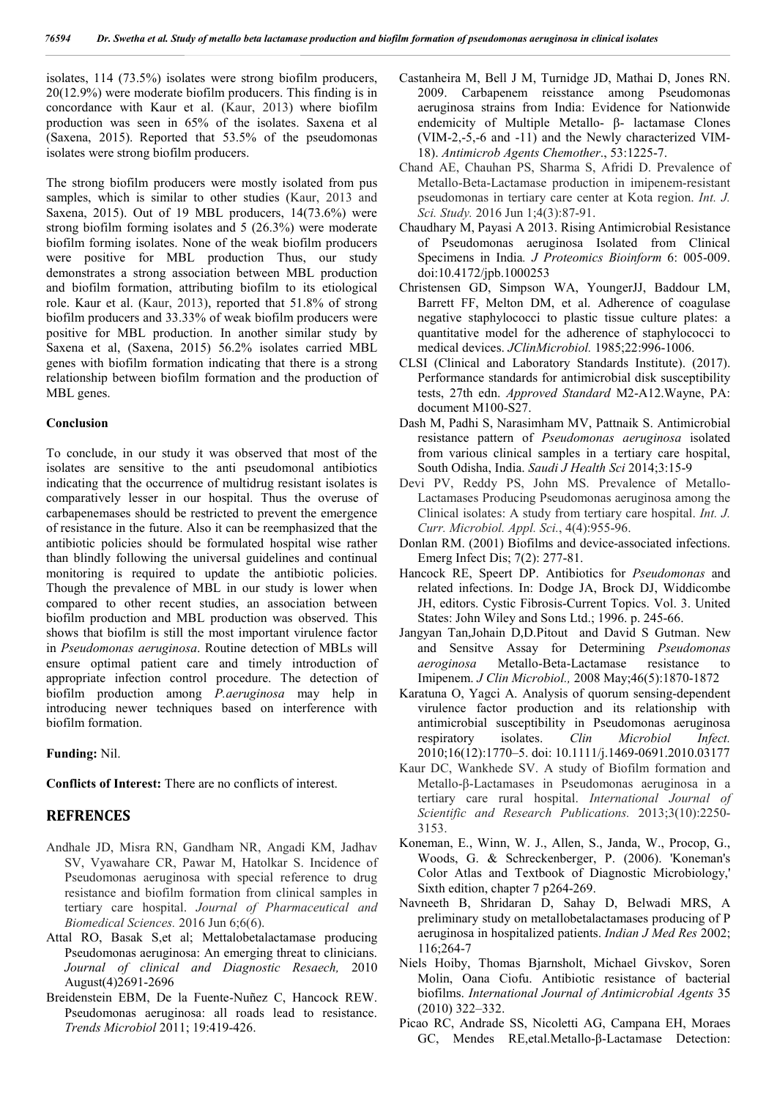isolates, 114 (73.5%) isolates were strong biofilm producers, 20(12.9%) were moderate biofilm producers. This finding is in concordance with Kaur et al. (Kaur, 2013) where biofilm production was seen in 65% of the isolates. Saxena et al (Saxena, 2015). Reported that 53.5% of the pseudomonas isolates were strong biofilm producers.

The strong biofilm producers were mostly isolated from pus samples, which is similar to other studies (Kaur, 2013 and Saxena, 2015). Out of 19 MBL producers, 14(73.6%) were strong biofilm forming isolates and 5 (26.3%) were moderate biofilm forming isolates. None of the weak biofilm producers were positive for MBL production Thus, our study demonstrates a strong association between MBL production and biofilm formation, attributing biofilm to its etiological role. Kaur et al. (Kaur, 2013), reported that 51.8% of strong biofilm producers and 33.33% of weak biofilm producers were positive for MBL production. In another similar study by Saxena et al, (Saxena, 2015) 56.2% isolates carried MBL genes with biofilm formation indicating that there is a strong relationship between biofilm formation and the production of MBL genes.

#### **Conclusion**

To conclude, in our study it was observed that most of the isolates are sensitive to the anti pseudomonal antibiotics indicating that the occurrence of multidrug resistant isolates is comparatively lesser in our hospital. Thus the overuse of carbapenemases should be restricted to prevent the emergence of resistance in the future. Also it can be reemphasized that the antibiotic policies should be formulated hospital wise rather than blindly following the universal guidelines and continual monitoring is required to update the antibiotic policies. Though the prevalence of MBL in our study is lower when compared to other recent studies, an association between biofilm production and MBL production was observed. This shows that biofilm is still the most important virulence factor in *Pseudomonas aeruginosa*. Routine detection of MBLs will ensure optimal patient care and timely introduction of appropriate infection control procedure. The detection of biofilm production among *P.aeruginosa* may help in introducing newer techniques based on interference with biofilm formation.

**Funding:** Nil.

**Conflicts of Interest:** There are no conflicts of interest.

## **REFRENCES**

- Andhale JD, Misra RN, Gandham NR, Angadi KM, Jadhav SV, Vyawahare CR, Pawar M, Hatolkar S. Incidence of Pseudomonas aeruginosa with special reference to drug resistance and biofilm formation from clinical samples in tertiary care hospital. *Journal of Pharmaceutical and Biomedical Sciences.* 2016 Jun 6;6(6).
- Attal RO, Basak S,et al; Mettalobetalactamase producing Pseudomonas aeruginosa: An emerging threat to clinicians. *Journal of clinical and Diagnostic Resaech,* 2010 August(4)2691-2696
- Breidenstein EBM, De la Fuente-Nuñez C, Hancock REW. Pseudomonas aeruginosa: all roads lead to resistance. *Trends Microbiol* 2011; 19:419-426.
- Castanheira M, Bell J M, Turnidge JD, Mathai D, Jones RN. 2009. Carbapenem reisstance among Pseudomonas aeruginosa strains from India: Evidence for Nationwide endemicity of Multiple Metallo- β- lactamase Clones (VIM-2,-5,-6 and -11) and the Newly characterized VIM-18). *Antimicrob Agents Chemother*., 53:1225-7.
- Chand AE, Chauhan PS, Sharma S, Afridi D. Prevalence of Metallo-Beta-Lactamase production in imipenem-resistant pseudomonas in tertiary care center at Kota region. *Int. J. Sci. Study.* 2016 Jun 1;4(3):87-91.
- Chaudhary M, Payasi A 2013. Rising Antimicrobial Resistance of Pseudomonas aeruginosa Isolated from Clinical Specimens in India*. J Proteomics Bioinform* 6: 005-009. doi:10.4172/jpb.1000253
- Christensen GD, Simpson WA, YoungerJJ, Baddour LM, Barrett FF, Melton DM, et al. Adherence of coagulase negative staphylococci to plastic tissue culture plates: a quantitative model for the adherence of staphylococci to medical devices. *JClinMicrobiol.* 1985;22:996-1006.
- CLSI (Clinical and Laboratory Standards Institute). (2017). Performance standards for antimicrobial disk susceptibility tests, 27th edn. *Approved Standard* M2-A12.Wayne, PA: document M100-S27.
- Dash M, Padhi S, Narasimham MV, Pattnaik S. Antimicrobial resistance pattern of *Pseudomonas aeruginosa* isolated from various clinical samples in a tertiary care hospital, South Odisha, India. *Saudi J Health Sci* 2014;3:15-9
- Devi PV, Reddy PS, John MS. Prevalence of Metallo-Lactamases Producing Pseudomonas aeruginosa among the Clinical isolates: A study from tertiary care hospital. *Int. J. Curr. Microbiol. Appl. Sci.*, 4(4):955-96.
- Donlan RM. (2001) Biofilms and device-associated infections. Emerg Infect Dis; 7(2): 277-81.
- Hancock RE, Speert DP. Antibiotics for *Pseudomonas* and related infections. In: Dodge JA, Brock DJ, Widdicombe JH, editors. Cystic Fibrosis-Current Topics. Vol. 3. United States: John Wiley and Sons Ltd.; 1996. p. 245-66.
- Jangyan Tan,Johain D,D.Pitout and David S Gutman. New and Sensitve Assay for Determining *Pseudomonas aeroginosa* Metallo-Beta-Lactamase resistance to Imipenem. *J Clin Microbiol.,* 2008 May;46(5):1870-1872
- Karatuna O, Yagci A. Analysis of quorum sensing-dependent virulence factor production and its relationship with antimicrobial susceptibility in Pseudomonas aeruginosa respiratory isolates. *Clin Microbiol Infect.* 2010;16(12):1770–5. doi: 10.1111/j.1469-0691.2010.03177
- Kaur DC, Wankhede SV. A study of Biofilm formation and Metallo-β-Lactamases in Pseudomonas aeruginosa in a tertiary care rural hospital. *International Journal of Scientific and Research Publications.* 2013;3(10):2250- 3153.
- Koneman, E., Winn, W. J., Allen, S., Janda, W., Procop, G., Woods, G. & Schreckenberger, P. (2006). 'Koneman's Color Atlas and Textbook of Diagnostic Microbiology,' Sixth edition, chapter 7 p264-269.
- Navneeth B, Shridaran D, Sahay D, Belwadi MRS, A preliminary study on metallobetalactamases producing of P aeruginosa in hospitalized patients. *Indian J Med Res* 2002; 116;264-7
- Niels Hoiby, Thomas Bjarnsholt, Michael Givskov, Soren Molin, Oana Ciofu. Antibiotic resistance of bacterial biofilms. *International Journal of Antimicrobial Agents* 35 (2010) 322–332.
- Picao RC, Andrade SS, Nicoletti AG, Campana EH, Moraes GC, Mendes RE,etal.Metallo-β-Lactamase Detection: